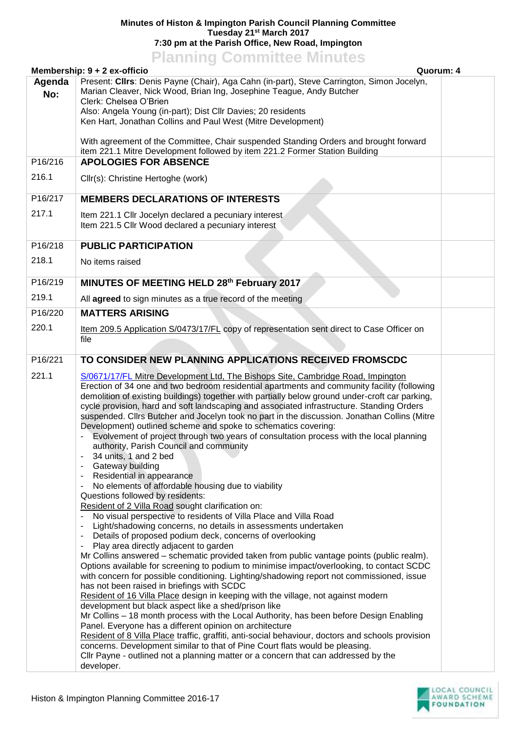## **Minutes of Histon & Impington Parish Council Planning Committee Tuesday 21st March 2017 7:30 pm at the Parish Office, New Road, Impington**

## **Planning Committee Minutes**

|               | Membership: 9 + 2 ex-officio<br>Quorum: 4                                                                                                                                                                                                                                                                                                                                                                                                                                                                                                                                                                                                                                                                                                                                                                                                                                                                                                                                                                                                                                                                                                                                                                                                                                                                                                                                                                                                                                                                                                                                                                                                                                                                                                                                                                                                                                                                                                                                                                                                                                                   |  |  |
|---------------|---------------------------------------------------------------------------------------------------------------------------------------------------------------------------------------------------------------------------------------------------------------------------------------------------------------------------------------------------------------------------------------------------------------------------------------------------------------------------------------------------------------------------------------------------------------------------------------------------------------------------------------------------------------------------------------------------------------------------------------------------------------------------------------------------------------------------------------------------------------------------------------------------------------------------------------------------------------------------------------------------------------------------------------------------------------------------------------------------------------------------------------------------------------------------------------------------------------------------------------------------------------------------------------------------------------------------------------------------------------------------------------------------------------------------------------------------------------------------------------------------------------------------------------------------------------------------------------------------------------------------------------------------------------------------------------------------------------------------------------------------------------------------------------------------------------------------------------------------------------------------------------------------------------------------------------------------------------------------------------------------------------------------------------------------------------------------------------------|--|--|
| Agenda<br>No: | Present: Cllrs: Denis Payne (Chair), Aga Cahn (in-part), Steve Carrington, Simon Jocelyn,<br>Marian Cleaver, Nick Wood, Brian Ing, Josephine Teague, Andy Butcher<br>Clerk: Chelsea O'Brien<br>Also: Angela Young (in-part); Dist Cllr Davies; 20 residents<br>Ken Hart, Jonathan Collins and Paul West (Mitre Development)                                                                                                                                                                                                                                                                                                                                                                                                                                                                                                                                                                                                                                                                                                                                                                                                                                                                                                                                                                                                                                                                                                                                                                                                                                                                                                                                                                                                                                                                                                                                                                                                                                                                                                                                                                 |  |  |
|               | With agreement of the Committee, Chair suspended Standing Orders and brought forward<br>item 221.1 Mitre Development followed by item 221.2 Former Station Building                                                                                                                                                                                                                                                                                                                                                                                                                                                                                                                                                                                                                                                                                                                                                                                                                                                                                                                                                                                                                                                                                                                                                                                                                                                                                                                                                                                                                                                                                                                                                                                                                                                                                                                                                                                                                                                                                                                         |  |  |
| P16/216       | <b>APOLOGIES FOR ABSENCE</b>                                                                                                                                                                                                                                                                                                                                                                                                                                                                                                                                                                                                                                                                                                                                                                                                                                                                                                                                                                                                                                                                                                                                                                                                                                                                                                                                                                                                                                                                                                                                                                                                                                                                                                                                                                                                                                                                                                                                                                                                                                                                |  |  |
| 216.1         | Cllr(s): Christine Hertoghe (work)                                                                                                                                                                                                                                                                                                                                                                                                                                                                                                                                                                                                                                                                                                                                                                                                                                                                                                                                                                                                                                                                                                                                                                                                                                                                                                                                                                                                                                                                                                                                                                                                                                                                                                                                                                                                                                                                                                                                                                                                                                                          |  |  |
| P16/217       | <b>MEMBERS DECLARATIONS OF INTERESTS</b>                                                                                                                                                                                                                                                                                                                                                                                                                                                                                                                                                                                                                                                                                                                                                                                                                                                                                                                                                                                                                                                                                                                                                                                                                                                                                                                                                                                                                                                                                                                                                                                                                                                                                                                                                                                                                                                                                                                                                                                                                                                    |  |  |
| 217.1         | Item 221.1 Cllr Jocelyn declared a pecuniary interest<br>Item 221.5 Cllr Wood declared a pecuniary interest                                                                                                                                                                                                                                                                                                                                                                                                                                                                                                                                                                                                                                                                                                                                                                                                                                                                                                                                                                                                                                                                                                                                                                                                                                                                                                                                                                                                                                                                                                                                                                                                                                                                                                                                                                                                                                                                                                                                                                                 |  |  |
| P16/218       | <b>PUBLIC PARTICIPATION</b>                                                                                                                                                                                                                                                                                                                                                                                                                                                                                                                                                                                                                                                                                                                                                                                                                                                                                                                                                                                                                                                                                                                                                                                                                                                                                                                                                                                                                                                                                                                                                                                                                                                                                                                                                                                                                                                                                                                                                                                                                                                                 |  |  |
| 218.1         | No items raised                                                                                                                                                                                                                                                                                                                                                                                                                                                                                                                                                                                                                                                                                                                                                                                                                                                                                                                                                                                                                                                                                                                                                                                                                                                                                                                                                                                                                                                                                                                                                                                                                                                                                                                                                                                                                                                                                                                                                                                                                                                                             |  |  |
| P16/219       | MINUTES OF MEETING HELD 28th February 2017                                                                                                                                                                                                                                                                                                                                                                                                                                                                                                                                                                                                                                                                                                                                                                                                                                                                                                                                                                                                                                                                                                                                                                                                                                                                                                                                                                                                                                                                                                                                                                                                                                                                                                                                                                                                                                                                                                                                                                                                                                                  |  |  |
| 219.1         | All agreed to sign minutes as a true record of the meeting                                                                                                                                                                                                                                                                                                                                                                                                                                                                                                                                                                                                                                                                                                                                                                                                                                                                                                                                                                                                                                                                                                                                                                                                                                                                                                                                                                                                                                                                                                                                                                                                                                                                                                                                                                                                                                                                                                                                                                                                                                  |  |  |
| P16/220       | <b>MATTERS ARISING</b>                                                                                                                                                                                                                                                                                                                                                                                                                                                                                                                                                                                                                                                                                                                                                                                                                                                                                                                                                                                                                                                                                                                                                                                                                                                                                                                                                                                                                                                                                                                                                                                                                                                                                                                                                                                                                                                                                                                                                                                                                                                                      |  |  |
| 220.1         | Item 209.5 Application S/0473/17/FL copy of representation sent direct to Case Officer on<br>file                                                                                                                                                                                                                                                                                                                                                                                                                                                                                                                                                                                                                                                                                                                                                                                                                                                                                                                                                                                                                                                                                                                                                                                                                                                                                                                                                                                                                                                                                                                                                                                                                                                                                                                                                                                                                                                                                                                                                                                           |  |  |
| P16/221       | TO CONSIDER NEW PLANNING APPLICATIONS RECEIVED FROMSCDC                                                                                                                                                                                                                                                                                                                                                                                                                                                                                                                                                                                                                                                                                                                                                                                                                                                                                                                                                                                                                                                                                                                                                                                                                                                                                                                                                                                                                                                                                                                                                                                                                                                                                                                                                                                                                                                                                                                                                                                                                                     |  |  |
| 221.1         | S/0671/17/FL Mitre Development Ltd, The Bishops Site, Cambridge Road, Impington<br>Erection of 34 one and two bedroom residential apartments and community facility (following<br>demolition of existing buildings) together with partially below ground under-croft car parking,<br>cycle provision, hard and soft landscaping and associated infrastructure. Standing Orders<br>suspended. Clirs Butcher and Jocelyn took no part in the discussion. Jonathan Collins (Mitre<br>Development) outlined scheme and spoke to schematics covering:<br>Evolvement of project through two years of consultation process with the local planning<br>authority, Parish Council and community<br>34 units, 1 and 2 bed<br>Gateway building<br>Residential in appearance<br>No elements of affordable housing due to viability<br>Questions followed by residents:<br>Resident of 2 Villa Road sought clarification on:<br>No visual perspective to residents of Villa Place and Villa Road<br>Light/shadowing concerns, no details in assessments undertaken<br>Details of proposed podium deck, concerns of overlooking<br>Play area directly adjacent to garden<br>Mr Collins answered - schematic provided taken from public vantage points (public realm).<br>Options available for screening to podium to minimise impact/overlooking, to contact SCDC<br>with concern for possible conditioning. Lighting/shadowing report not commissioned, issue<br>has not been raised in briefings with SCDC<br>Resident of 16 Villa Place design in keeping with the village, not against modern<br>development but black aspect like a shed/prison like<br>Mr Collins - 18 month process with the Local Authority, has been before Design Enabling<br>Panel. Everyone has a different opinion on architecture<br>Resident of 8 Villa Place traffic, graffiti, anti-social behaviour, doctors and schools provision<br>concerns. Development similar to that of Pine Court flats would be pleasing.<br>Cllr Payne - outlined not a planning matter or a concern that can addressed by the<br>developer. |  |  |

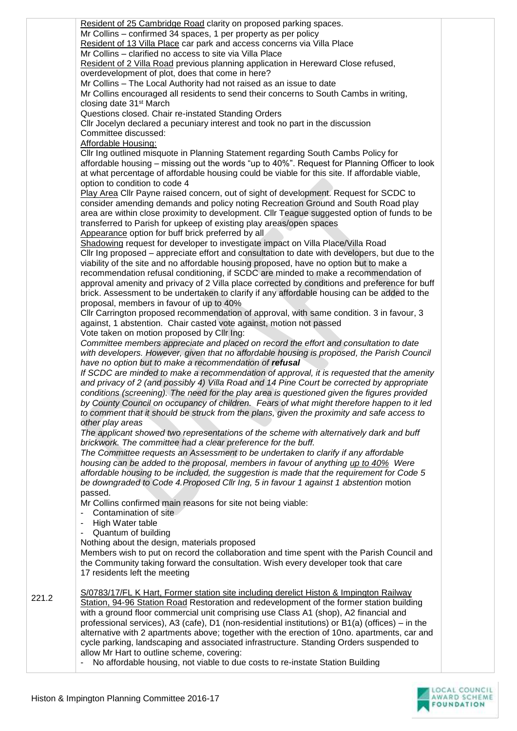Resident of 25 Cambridge Road clarity on proposed parking spaces. Mr Collins – confirmed 34 spaces, 1 per property as per policy Resident of 13 Villa Place car park and access concerns via Villa Place Mr Collins – clarified no access to site via Villa Place Resident of 2 Villa Road previous planning application in Hereward Close refused. overdevelopment of plot, does that come in here? Mr Collins – The Local Authority had not raised as an issue to date Mr Collins encouraged all residents to send their concerns to South Cambs in writing, closing date 31st March Questions closed. Chair re-instated Standing Orders Cllr Jocelyn declared a pecuniary interest and took no part in the discussion Committee discussed: Affordable Housing: Cllr Ing outlined misquote in Planning Statement regarding South Cambs Policy for affordable housing – missing out the words "up to 40%". Request for Planning Officer to look at what percentage of affordable housing could be viable for this site. If affordable viable, option to condition to code 4 Play Area Cllr Payne raised concern, out of sight of development. Request for SCDC to consider amending demands and policy noting Recreation Ground and South Road play area are within close proximity to development. Cllr Teague suggested option of funds to be transferred to Parish for upkeep of existing play areas/open spaces Appearance option for buff brick preferred by all Shadowing request for developer to investigate impact on Villa Place/Villa Road Cllr Ing proposed – appreciate effort and consultation to date with developers, but due to the viability of the site and no affordable housing proposed, have no option but to make a recommendation refusal conditioning, if SCDC are minded to make a recommendation of approval amenity and privacy of 2 Villa place corrected by conditions and preference for buff brick. Assessment to be undertaken to clarify if any affordable housing can be added to the proposal, members in favour of up to 40% Cllr Carrington proposed recommendation of approval, with same condition. 3 in favour, 3 against, 1 abstention. Chair casted vote against, motion not passed Vote taken on motion proposed by Cllr Ing: *Committee members appreciate and placed on record the effort and consultation to date*  with developers. However, given that no affordable housing is proposed, the Parish Council *have no option but to make a recommendation of refusal If SCDC are minded to make a recommendation of approval, it is requested that the amenity and privacy of 2 (and possibly 4) Villa Road and 14 Pine Court be corrected by appropriate conditions (screening). The need for the play area is questioned given the figures provided by County Council on occupancy of children. Fears of what might therefore happen to it led to comment that it should be struck from the plans, given the proximity and safe access to other play areas The applicant showed two representations of the scheme with alternatively dark and buff brickwork. The committee had a clear preference for the buff. The Committee requests an Assessment to be undertaken to clarify if any affordable housing can be added to the proposal, members in favour of anything up to 40% Were affordable housing to be included, the suggestion is made that the requirement for Code 5 be downgraded to Code 4.Proposed Cllr Ing, 5 in favour 1 against 1 abstention* motion passed. Mr Collins confirmed main reasons for site not being viable: - Contamination of site - High Water table - Quantum of building Nothing about the design, materials proposed Members wish to put on record the collaboration and time spent with the Parish Council and the Community taking forward the consultation. Wish every developer took that care 17 residents left the meeting S/0783/17/FL K Hart, Former station site including derelict Histon & Impington Railway Station, 94-96 Station Road Restoration and redevelopment of the former station building with a ground floor commercial unit comprising use Class A1 (shop), A2 financial and professional services), A3 (cafe), D1 (non-residential institutions) or B1(a) (offices) – in the alternative with 2 apartments above; together with the erection of 10no. apartments, car and cycle parking, landscaping and associated infrastructure. Standing Orders suspended to allow Mr Hart to outline scheme, covering: - No affordable housing, not viable to due costs to re-instate Station Building



221.2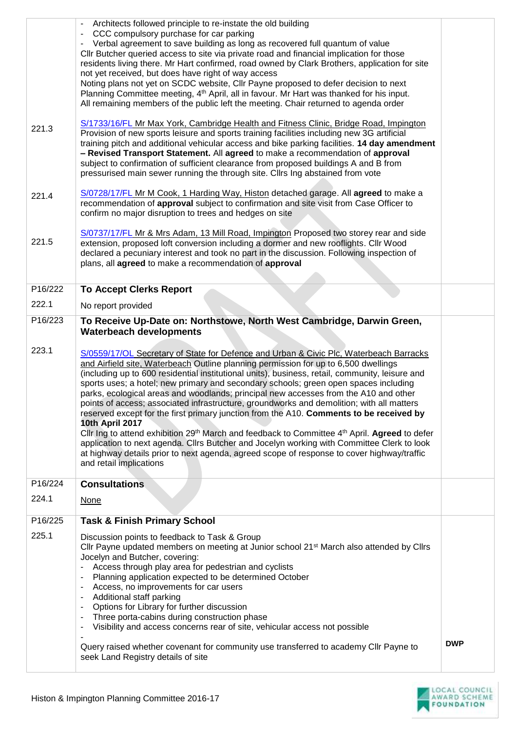|         | Architects followed principle to re-instate the old building<br>CCC compulsory purchase for car parking<br>Verbal agreement to save building as long as recovered full quantum of value<br>CIIr Butcher queried access to site via private road and financial implication for those<br>residents living there. Mr Hart confirmed, road owned by Clark Brothers, application for site<br>not yet received, but does have right of way access<br>Noting plans not yet on SCDC website, Cllr Payne proposed to defer decision to next<br>Planning Committee meeting, 4 <sup>th</sup> April, all in favour. Mr Hart was thanked for his input.<br>All remaining members of the public left the meeting. Chair returned to agenda order                                                                                                                                                                                                                                                                                                 |            |
|---------|------------------------------------------------------------------------------------------------------------------------------------------------------------------------------------------------------------------------------------------------------------------------------------------------------------------------------------------------------------------------------------------------------------------------------------------------------------------------------------------------------------------------------------------------------------------------------------------------------------------------------------------------------------------------------------------------------------------------------------------------------------------------------------------------------------------------------------------------------------------------------------------------------------------------------------------------------------------------------------------------------------------------------------|------------|
| 221.3   | S/1733/16/FL Mr Max York, Cambridge Health and Fitness Clinic, Bridge Road, Impington<br>Provision of new sports leisure and sports training facilities including new 3G artificial<br>training pitch and additional vehicular access and bike parking facilities. 14 day amendment<br>- Revised Transport Statement. All agreed to make a recommendation of approval<br>subject to confirmation of sufficient clearance from proposed buildings A and B from<br>pressurised main sewer running the through site. Cllrs Ing abstained from vote                                                                                                                                                                                                                                                                                                                                                                                                                                                                                    |            |
| 221.4   | S/0728/17/FL Mr M Cook, 1 Harding Way, Histon detached garage. All agreed to make a<br>recommendation of approval subject to confirmation and site visit from Case Officer to<br>confirm no major disruption to trees and hedges on site                                                                                                                                                                                                                                                                                                                                                                                                                                                                                                                                                                                                                                                                                                                                                                                           |            |
| 221.5   | S/0737/17/FL Mr & Mrs Adam, 13 Mill Road, Impington Proposed two storey rear and side<br>extension, proposed loft conversion including a dormer and new rooflights. Cllr Wood<br>declared a pecuniary interest and took no part in the discussion. Following inspection of<br>plans, all agreed to make a recommendation of approval                                                                                                                                                                                                                                                                                                                                                                                                                                                                                                                                                                                                                                                                                               |            |
| P16/222 | <b>To Accept Clerks Report</b>                                                                                                                                                                                                                                                                                                                                                                                                                                                                                                                                                                                                                                                                                                                                                                                                                                                                                                                                                                                                     |            |
| 222.1   | No report provided                                                                                                                                                                                                                                                                                                                                                                                                                                                                                                                                                                                                                                                                                                                                                                                                                                                                                                                                                                                                                 |            |
| P16/223 | To Receive Up-Date on: Northstowe, North West Cambridge, Darwin Green,<br><b>Waterbeach developments</b>                                                                                                                                                                                                                                                                                                                                                                                                                                                                                                                                                                                                                                                                                                                                                                                                                                                                                                                           |            |
| 223.1   | S/0559/17/OL Secretary of State for Defence and Urban & Civic Plc, Waterbeach Barracks<br>and Airfield site, Waterbeach Outline planning permission for up to 6,500 dwellings<br>(including up to 600 residential institutional units), business, retail, community, leisure and<br>sports uses; a hotel; new primary and secondary schools; green open spaces including<br>parks, ecological areas and woodlands; principal new accesses from the A10 and other<br>points of access; associated infrastructure, groundworks and demolition; with all matters<br>reserved except for the first primary junction from the A10. Comments to be received by<br><b>10th April 2017</b><br>Cllr Ing to attend exhibition 29 <sup>th</sup> March and feedback to Committee 4 <sup>th</sup> April. Agreed to defer<br>application to next agenda. Cllrs Butcher and Jocelyn working with Committee Clerk to look<br>at highway details prior to next agenda, agreed scope of response to cover highway/traffic<br>and retail implications |            |
| P16/224 | <b>Consultations</b>                                                                                                                                                                                                                                                                                                                                                                                                                                                                                                                                                                                                                                                                                                                                                                                                                                                                                                                                                                                                               |            |
| 224.1   | <b>None</b>                                                                                                                                                                                                                                                                                                                                                                                                                                                                                                                                                                                                                                                                                                                                                                                                                                                                                                                                                                                                                        |            |
| P16/225 | <b>Task &amp; Finish Primary School</b>                                                                                                                                                                                                                                                                                                                                                                                                                                                                                                                                                                                                                                                                                                                                                                                                                                                                                                                                                                                            |            |
| 225.1   | Discussion points to feedback to Task & Group<br>Cllr Payne updated members on meeting at Junior school 21 <sup>st</sup> March also attended by Cllrs<br>Jocelyn and Butcher, covering:<br>Access through play area for pedestrian and cyclists<br>Planning application expected to be determined October<br>Access, no improvements for car users<br>Additional staff parking<br>Options for Library for further discussion<br>Three porta-cabins during construction phase<br>Visibility and access concerns rear of site, vehicular access not possible<br>$\overline{\phantom{a}}$<br>Query raised whether covenant for community use transferred to academy Cllr Payne to                                                                                                                                                                                                                                                                                                                                                     | <b>DWP</b> |
|         | seek Land Registry details of site                                                                                                                                                                                                                                                                                                                                                                                                                                                                                                                                                                                                                                                                                                                                                                                                                                                                                                                                                                                                 |            |